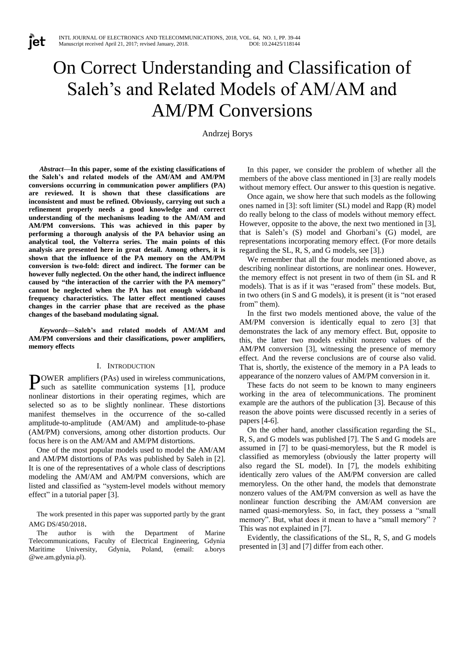# On Correct Understanding and Classification of Saleh's and Related Models of AM/AM and AM/PM Conversions

Andrzej Borys

*Abstract***—In this paper, some of the existing classifications of the Saleh's and related models of the AM/AM and AM/PM conversions occurring in communication power amplifiers (PA) are reviewed. It is shown that these classifications are inconsistent and must be refined. Obviously, carrying out such a refinement properly needs a good knowledge and correct understanding of the mechanisms leading to the AM/AM and AM/PM conversions. This was achieved in this paper by performing a thorough analysis of the PA behavior using an analytical tool, the Volterra series. The main points of this analysis are presented here in great detail. Among others, it is shown that the influence of the PA memory on the AM/PM conversion is two-fold: direct and indirect. The former can be however fully neglected. On the other hand, the indirect influence caused by "the interaction of the carrier with the PA memory" cannot be neglected when the PA has not enough wideband frequency characteristics. The latter effect mentioned causes changes in the carrier phase that are received as the phase changes of the baseband modulating signal.** 

**Tet** 

*Keywords—***Saleh's and related models of AM/AM and AM/PM conversions and their classifications, power amplifiers, memory effects**

#### I. INTRODUCTION

OWER amplifiers (PAs) used in wireless communications, **POWER** amplifiers (PAs) used in wireless communications, such as satellite communication systems [1], produce nonlinear distortions in their operating regimes, which are selected so as to be slightly nonlinear. These distortions manifest themselves in the occurrence of the so-called amplitude-to-amplitude (AM/AM) and amplitude-to-phase (AM/PM) conversions, among other distortion products. Our focus here is on the AM/AM and AM/PM distortions.

One of the most popular models used to model the AM/AM and AM/PM distortions of PAs was published by Saleh in [2]. It is one of the representatives of a whole class of descriptions modeling the AM/AM and AM/PM conversions, which are listed and classified as "system-level models without memory effect" in a tutorial paper [3].

The work presented in this paper was supported partly by the grant AMG DS/450/2018.

The author is with the Department of Marine Telecommunications, Faculty of Electrical Engineering, Gdynia Maritime University, Gdynia, Poland, (email: a.borys @we.am.gdynia.pl).

In this paper, we consider the problem of whether all the members of the above class mentioned in [3] are really models without memory effect. Our answer to this question is negative.

Once again, we show here that such models as the following ones named in [3]: soft limiter (SL) model and Rapp (R) model do really belong to the class of models without memory effect. However, opposite to the above, the next two mentioned in [3], that is Saleh's (S) model and Ghorbani's (G) model, are representations incorporating memory effect. (For more details regarding the SL, R, S, and G models, see [3].)

We remember that all the four models mentioned above, as describing nonlinear distortions, are nonlinear ones. However, the memory effect is not present in two of them (in SL and R models). That is as if it was "erased from" these models. But, in two others (in S and G models), it is present (it is "not erased from" them).

In the first two models mentioned above, the value of the AM/PM conversion is identically equal to zero [3] that demonstrates the lack of any memory effect. But, opposite to this, the latter two models exhibit nonzero values of the AM/PM conversion [3], witnessing the presence of memory effect. And the reverse conclusions are of course also valid. That is, shortly, the existence of the memory in a PA leads to appearance of the nonzero values of AM/PM conversion in it.

These facts do not seem to be known to many engineers working in the area of telecommunications. The prominent example are the authors of the publication [3]. Because of this reason the above points were discussed recently in a series of papers [4-6].

On the other hand, another classification regarding the SL, R, S, and G models was published [7]. The S and G models are assumed in [7] to be quasi-memoryless, but the R model is classified as memoryless (obviously the latter property will also regard the SL model). In [7], the models exhibiting identically zero values of the AM/PM conversion are called memoryless. On the other hand, the models that demonstrate nonzero values of the AM/PM conversion as well as have the nonlinear function describing the AM/AM conversion are named quasi-memoryless. So, in fact, they possess a "small memory". But, what does it mean to have a "small memory"? This was not explained in [7].

Evidently, the classifications of the SL, R, S, and G models presented in [3] and [7] differ from each other.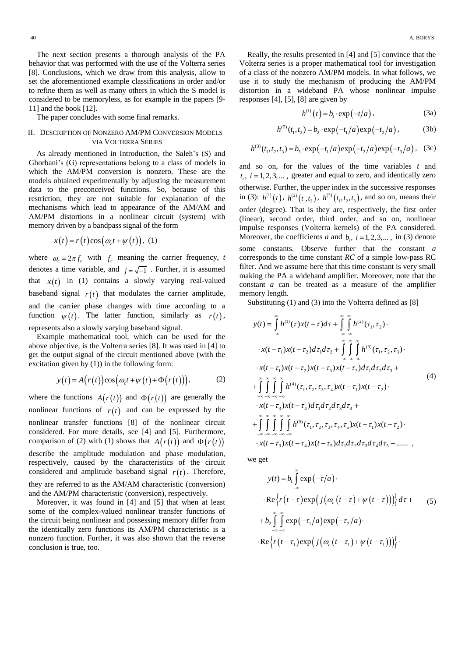The next section presents a thorough analysis of the PA behavior that was performed with the use of the Volterra series [8]. Conclusions, which we draw from this analysis, allow to set the aforementioned example classifications in order and/or to refine them as well as many others in which the S model is considered to be memoryless, as for example in the papers [9- 11] and the book [12].

The paper concludes with some final remarks.

## II. DESCRIPTION OF NONZERO AM/PM CONVERSION MODELS VIA VOLTERRA SERIES

As already mentioned in Introduction, the Saleh's (S) and Ghorbani's (G) representations belong to a class of models in which the AM/PM conversion is nonzero. These are the models obtained experimentally by adjusting the measurement data to the preconceived functions. So, because of this restriction, they are not suitable for explanation of the mechanisms which lead to appearance of the AM/AM and AM/PM distortions in a nonlinear circuit (system) with memory driven by a bandpass signal of the form

$$
x(t) = r(t)\cos(\omega_c t + \psi(t)), \quad (1)
$$

where  $\omega_c = 2\pi f_c$  with  $f_c$  meaning the carrier frequency, *t* denotes a time variable, and  $j = \sqrt{-1}$ . Further, it is assumed that  $x(t)$  in (1) contains a slowly varying real-valued baseband signal  $r(t)$  that modulates the carrier amplitude, and the carrier phase changes with time according to a function  $\psi(t)$ . The latter function, similarly as  $r(t)$ , represents also a slowly varying baseband signal.

Example mathematical tool, which can be used for the above objective, is the Volterra series [8]. It was used in [4] to get the output signal of the circuit mentioned above (with the

excitation given by (1)) in the following form:  
\n
$$
y(t) = A(r(t))\cos(\omega_c t + \psi(t) + \Phi(r(t))),
$$
\n(2)

where the functions  $A(r(t))$  and  $\Phi(r(t))$  are generally the nonlinear functions of  $r(t)$  and can be expressed by the nonlinear transfer functions [8] of the nonlinear circuit considered. For more details, see [4] and [5]. Furthermore, comparison of (2) with (1) shows that  $A(r(t))$  and  $\Phi(r(t))$ describe the amplitude modulation and phase modulation, respectively, caused by the characteristics of the circuit considered and amplitude baseband signal  $r(t)$ . Therefore, they are referred to as the AM/AM characteristic (conversion) and the AM/PM characteristic (conversion), respectively.

Moreover, it was found in [4] and [5] that when at least some of the complex-valued nonlinear transfer functions of the circuit being nonlinear and possessing memory differ from the identically zero functions its AM/PM characteristic is a nonzero function. Further, it was also shown that the reverse conclusion is true, too.

Really, the results presented in [4] and [5] convince that the Volterra series is a proper mathematical tool for investigation of a class of the nonzero AM/PM models. In what follows, we use it to study the mechanism of producing the AM/PM distortion in a wideband PA whose nonlinear impulse responses [4], [5], [8] are given by

$$
h^{(1)}(t) = b_1 \cdot \exp(-t/a), \qquad (3a)
$$

$$
h^{(2)}(t_1, t_2) = b_2 \cdot \exp(-t_1/a) \exp(-t_2/a), \tag{3b}
$$

$$
h^{(3)}(t_1, t_2) = b_2 \cdot \exp(-t_1/a) \exp(-t_2/a), \qquad (30)
$$

$$
h^{(3)}(t_1, t_2, t_3) = b_3 \cdot \exp(-t_1/a) \exp(-t_2/a) \exp(-t_3/a), \quad (3c)
$$

and so on, for the values of the time variables *t* and  $t_i$ ,  $i = 1, 2, 3,...$ , greater and equal to zero, and identically zero otherwise. Further, the upper index in the successive responses in (3):  $h^{(1)}(t)$ ,  $h^{(2)}(t_1, t_2)$ ,  $h^{(3)}(t_1, t_2, t_3)$ , and so on, means their order (degree). That is they are, respectively, the first order (linear), second order, third order, and so on, nonlinear impulse responses (Volterra kernels) of the PA considered. Moreover, the coefficients *a* and  $b_i$ ,  $i = 1, 2, 3, \dots$ , in (3) denote some constants. Observe further that the constant *a* corresponds to the time constant *RC* of a simple low-pass RC filter. And we assume here that this time constant is very small making the PA a wideband amplifier. Moreover, note that the constant *a* can be treated as a measure of the amplifier memory length.

Substituting (1) and (3) into the Volterra defined as [8]  
\n
$$
y(t) = \int_{-\infty}^{\infty} h^{(1)}(\tau) x(t-\tau) d\tau + \int_{-\infty}^{\infty} \int_{-\infty}^{\infty} h^{(2)}(\tau_1, \tau_2) \cdot
$$
\n
$$
\cdot x(t-\tau_1) x(t-\tau_2) d\tau_1 d\tau_2 + \int_{-\infty}^{\infty} \int_{-\infty}^{\infty} \int_{-\infty}^{\infty} h^{(3)}(\tau_1, \tau_2, \tau_3) \cdot
$$
\n
$$
\cdot x(t-\tau_1) x(t-\tau_2) x(t-\tau_3) x(t-\tau_3) d\tau_1 d\tau_2 d\tau_3 +
$$
\n
$$
+ \int_{-\infty}^{\infty} \int_{-\infty}^{\infty} \int_{-\infty}^{\infty} h^{(4)}(\tau_1, \tau_2, \tau_3, \tau_4) x(t-\tau_1) x(t-\tau_2) \cdot
$$
\n
$$
\cdot x(t-\tau_3) x(t-\tau_4) d\tau_1 d\tau_2 d\tau_3 d\tau_4 +
$$
\n
$$
+ \int_{-\infty}^{\infty} \int_{-\infty}^{\infty} \int_{-\infty}^{\infty} \int_{-\infty}^{\infty} h^{(5)}(\tau_1, \tau_2, \tau_3, \tau_4, \tau_5) x(t-\tau_1) x(t-\tau_2) \cdot
$$
\n
$$
\cdot x(t-\tau_3) x(t-\tau_4) x(t-\tau_5) d\tau_1 d\tau_2 d\tau_3 d\tau_4 d\tau_5 + \dots
$$

we get

$$
y(t) = b_1 \int_{-\infty}^{\infty} \exp(-\tau/a) \cdot
$$
  
\n
$$
\cdot \text{Re}\left\{r(t-\tau)\exp\left(j\left(\omega_c(t-\tau)+\psi(t-\tau)\right)\right)\right\}d\tau +
$$
  
\n
$$
+ b_2 \int_{-\infty}^{\infty} \int_{-\infty}^{\infty} \exp(-\tau_1/a) \exp(-\tau_2/a) \cdot
$$
  
\n
$$
\cdot \text{Re}\left\{r(t-\tau_1)\exp\left(j\left(\omega_c(t-\tau_1)+\psi(t-\tau_1)\right)\right)\right\}.
$$
 (5)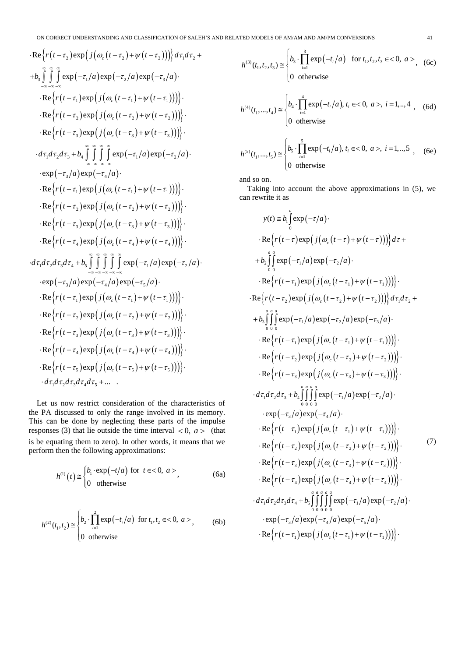ON CORRECT UNDERSTANDING AND CLASSIFICATION OF SALEH'S AND RELATED MODELS OF AM/AM AND AM/PM CONVERSIONS 41 Re exp *r t j t t d d* 2 2 2 1 2 3 1 2 3 1 1 1 2 2 2 3 3 3 1 2 3 4 1 2 exp exp exp Re exp Re exp Re exp exp exp *c c c c b a a a r t j t t r t j t t r t j t t d d d b a a* 3 4 1 1 1 2 2 2 3 3 3 4 4 4 1 2 3 4 5 1 2 3 exp exp Re exp Re exp Re exp Re exp exp exp exp *c c c c a a r t j t t r t j t t r t j t t r t j t t d d d d b a a a* 4 5 1 1 1 2 2 2 3 3 3 4 4 4 5 5 5 1 2 3 4 5 exp exp Re exp Re exp Re exp Re exp Re exp ... . *c c c c c a a r t j t t r t j t t r t j t t r t j t t r t j t t d d d d d* 

Let us now restrict consideration of the characteristics of the PA discussed to only the range involved in its memory. This can be done by neglecting these parts of the impulse responses (3) that lie outside the time interval  $\langle 0, a \rangle$  (that is be equating them to zero). In other words, it means that we perform then the following approximations:

$$
h^{(1)}(t) \cong \begin{cases} b_1 \cdot \exp(-t/a) & \text{for } t \in < 0, \ a > \\ 0 & \text{otherwise} \end{cases}
$$
 (6a)

$$
h^{(2)}(t_1, t_2) \approx \begin{cases} b_2 \cdot \prod_{i=1}^2 \exp(-t_i/a) & \text{for } t_1, t_2 \in < 0, \ a > \\ 0 & \text{otherwise} \end{cases}
$$
 (6b)

$$
h^{(3)}(t_1, t_2, t_3) \approx \begin{cases} b_3 \cdot \prod_{i=1}^3 \exp(-t_i/a) & \text{for } t_1, t_2, t_3 \in < 0, \ a > \\ 0 & \text{otherwise} \end{cases}
$$
 (6c)

$$
h^{(4)}(t_1, ..., t_4) \approx \begin{cases} b_4 \cdot \prod_{i=1}^4 \exp(-t_i/a), t_i \in < 0, \ a >, \ i = 1, ..., 4 \\ 0 \ \text{otherwise} \end{cases}
$$
 (6d)

$$
h^{(5)}(t_1,...,t_5) \approx \begin{cases} b_5 \cdot \prod_{i=1}^5 \exp(-t_i/a), t_i \in < 0, a>, i = 1,...,5 \\ 0 \text{ otherwise} \end{cases}
$$
 (6e)

and so on.

Taking into account the above approximations in (5), we can rewrite it as

$$
y(t) \approx b_0 \int_0^a \exp(-\tau/a) \cdot \text{Re}\left\{r(t-\tau)\exp\left(j(\omega_c(t-\tau)+\psi(t-\tau))\right)\right\}d\tau +
$$
\n
$$
+ b_2 \int_0^a \exp(-\tau_1/a)\exp(-\tau_2/a) \cdot \text{Re}\left\{r(t-\tau_1)\exp\left(j(\omega_c(t-\tau_1)+\psi(t-\tau_1))\right)\right\} \cdot \text{Re}\left\{r(t-\tau_2)\exp\left(j(\omega_c(t-\tau_2)+\psi(t-\tau_2))\right)\right\}d\tau_1d\tau_2 +
$$
\n
$$
+ b_3 \int_0^a \exp(-\tau_1/a)\exp(-\tau_2/a)\exp(-\tau_3/a) \cdot \text{Re}\left\{r(t-\tau_1)\exp\left(j(\omega_c(t-\tau_1)+\psi(t-\tau_1))\right)\right\} \cdot \text{Re}\left\{r(t-\tau_2)\exp\left(j(\omega_c(t-\tau_1)+\psi(t-\tau_2))\right)\right\} \cdot \text{Re}\left\{r(t-\tau_3)\exp\left(j(\omega_c(t-\tau_2)+\psi(t-\tau_2))\right)\right\} \cdot \text{Re}\left\{r(t-\tau_3)\exp\left(j(\omega_c(t-\tau_3)+\psi(t-\tau_3))\right)\right\} \cdot \text{exp}(-\tau_3/a)\exp(-\tau_4/a) \cdot \text{exp}(-\tau_3/a)\exp(-\tau_4/a) \cdot \text{Re}\left\{r(t-\tau_1)\exp\left(j(\omega_c(t-\tau_1)+\psi(t-\tau_1))\right)\right\} \cdot \text{Re}\left\{r(t-\tau_2)\exp\left(j(\omega_c(t-\tau_2)+\psi(t-\tau_2))\right)\right\} \cdot \text{Re}\left\{r(t-\tau_3)\exp\left(j(\omega_c(t-\tau_3)+\psi(t-\tau_3))\right)\right\} \cdot \text{Re}\left\{r(t-\tau_4)\exp\left(j(\omega_c(t-\tau_4)+\psi(t-\tau_4))\right)\right\} \cdot \text{exp}(-\tau_3/a\tau_4 + b_5 \int_0^a \int_0^a \int_0^a \exp(-\tau_1/a)\exp(-\tau_2/a) \cdot \text{exp}(-\tau_3/a\tau_4 + b_5 \int_0^a \int_0^a \int_0^a \exp(-\tau_1/a)\exp(-\tau_2/a) \cdot \text{exp}
$$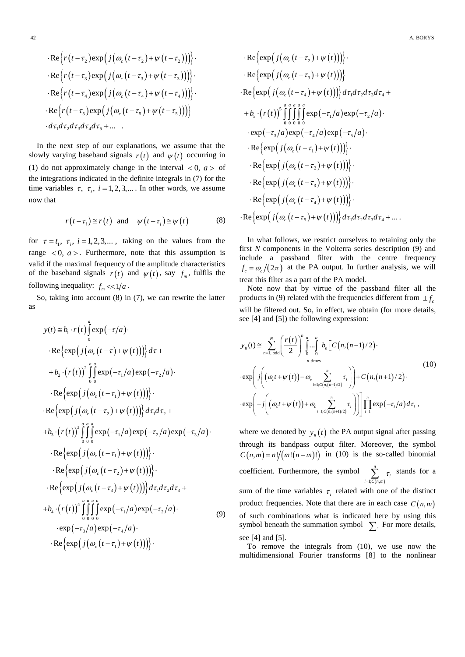$$
\begin{aligned}\n&\cdot \text{Re}\Big\{r\big(t-\tau_2\big)\exp\Big(j\big(\omega_c\big(t-\tau_2\big)+\psi\big(t-\tau_2\big)\big)\Big)\Big\} \\
&\cdot \text{Re}\Big\{r\big(t-\tau_3\big)\exp\big(j\big(\omega_c\big(t-\tau_3\big)+\psi\big(t-\tau_3\big)\big)\big)\Big\} \\
&\cdot \text{Re}\Big\{r\big(t-\tau_4\big)\exp\big(j\big(\omega_c\big(t-\tau_4\big)+\psi\big(t-\tau_4\big)\big)\big)\Big\} \\
&\cdot \text{Re}\Big\{r\big(t-\tau_5\big)\exp\big(j\big(\omega_c\big(t-\tau_5\big)+\psi\big(t-\tau_5\big)\big)\big)\Big\} \\
&\cdot d\tau_1d\tau_2d\tau_3d\tau_4d\tau_5 + \dots\n\end{aligned}
$$

In the next step of our explanations, we assume that the slowly varying baseband signals  $r(t)$  and  $\psi(t)$  occurring in (1) do not approximately change in the interval  $< 0$ ,  $a > 0$ the integrations indicated in the definite integrals in (7) for the time variables  $\tau$ ,  $\tau_i$ ,  $i = 1, 2, 3,...$  In other words, we assume now that

$$
r(t-\tau_i) \approx r(t)
$$
 and  $\psi(t-\tau_i) \approx \psi(t)$  (8)

for  $\tau = t_1$ ,  $\tau_i$ ,  $i = 1, 2, 3, ...$ , taking on the values from the range  $\langle 0, a \rangle$ . Furthermore, note that this assumption is valid if the maximal frequency of the amplitude characteristics of the baseband signals  $r(t)$  and  $\psi(t)$ , say  $f_m$ , fulfils the following inequality:  $f_m \ll 1/a$ .

So, taking into account (8) in (7), we can rewrite the latter as

$$
y(t) \approx b_1 \cdot r(t) \int_0^a \exp(-\tau/a) \cdot
$$
  
\n
$$
\cdot \text{Re}\left\{ \exp\left(j\left(\omega_c(t-\tau)+\psi(t)\right)\right) \right\} d\tau +
$$
  
\n
$$
+ b_2 \cdot (r(t))^2 \int_0^a \frac{a}{\theta} \exp(-\tau_1/a) \exp(-\tau_2/a) \cdot
$$
  
\n
$$
\cdot \text{Re}\left\{ \exp\left(j\left(\omega_c(t-\tau_1)+\psi(t)\right)\right) \right\} \cdot
$$
  
\n
$$
\cdot \text{Re}\left\{ \exp\left(j\left(\omega_c(t-\tau_2)+\psi(t)\right)\right) \right\} d\tau_1 d\tau_2 +
$$
  
\n
$$
+ b_3 \cdot (r(t))^3 \int_0^a \int_0^a \exp(-\tau_1/a) \exp(-\tau_2/a) \exp(-\tau_3/a) \cdot
$$
  
\n
$$
\cdot \text{Re}\left\{ \exp\left(j\left(\omega_c(t-\tau_1)+\psi(t)\right)\right) \right\} \cdot
$$
  
\n
$$
\cdot \text{Re}\left\{ \exp\left(j\left(\omega_c(t-\tau_2)+\psi(t)\right)\right) \right\} \cdot
$$
  
\n
$$
\cdot \text{Re}\left\{ \exp\left(j\left(\omega_c(t-\tau_3)+\psi(t)\right)\right) \right\} d\tau_1 d\tau_2 d\tau_3 +
$$
  
\n
$$
+ b_4 \cdot (r(t))^4 \int_0^a \int_0^a \int_0^a \exp(-\tau_1/a) \exp(-\tau_2/a) \cdot
$$
  
\n
$$
\cdot \exp(-\tau_3/a) \exp(-\tau_4/a) \cdot
$$
  
\n
$$
\cdot \text{Re}\left\{ \exp\left(j\left(\omega_c(t-\tau_1)+\psi(t)\right)\right) \right\} \cdot
$$

$$
\begin{aligned}\n&\cdot \text{Re}\left\{\exp\left(j\left(\omega_c\left(t-\tau_2\right)+\psi\left(t\right)\right)\right)\right\} \\
&\cdot \text{Re}\left\{\exp\left(j\left(\omega_c\left(t-\tau_3\right)+\psi\left(t\right)\right)\right)\right\} \\
&\cdot \text{Re}\left\{\exp\left(j\left(\omega_c\left(t-\tau_4\right)+\psi\left(t\right)\right)\right)\right\}d\tau_1d\tau_2d\tau_3d\tau_4 + \\
&\quad+ b_5 \cdot \left(r(t)\right)^5 \int_0^a \int_0^a \int_0^a \exp\left(-\tau_1/a\right) \exp\left(-\tau_2/a\right) \\
&\cdot \exp\left(-\tau_3/a\right) \exp\left(-\tau_4/a\right) \exp\left(-\tau_5/a\right) \\
&\cdot \text{Re}\left\{\exp\left(j\left(\omega_c\left(t-\tau_1\right)+\psi\left(t\right)\right)\right)\right\} \\
&\cdot \text{Re}\left\{\exp\left(j\left(\omega_c\left(t-\tau_2\right)+\psi\left(t\right)\right)\right)\right\} \\
&\cdot \text{Re}\left\{\exp\left(j\left(\omega_c\left(t-\tau_3\right)+\psi\left(t\right)\right)\right)\right\} \\
&\cdot \text{Re}\left\{\exp\left(j\left(\omega_c\left(t-\tau_4\right)+\psi\left(t\right)\right)\right)\right\} \\
&\cdot \text{Re}\left\{\exp\left(j\left(\omega_c\left(t-\tau_5\right)+\psi\left(t\right)\right)\right)\right\} \\
&\cdot \text{Re}\left\{\exp\left(j\left(\omega_c\left(t-\tau_5\right)+\psi\left(t\right)\right)\right)\right\}d\tau_1d\tau_2d\tau_3d\tau_4 + \dots.\n\end{aligned}
$$

In what follows, we restrict ourselves to retaining only the first *N* components in the Volterra series description (9) and include a passband filter with the centre frequency  $f_c = \omega_c/(2\pi)$  at the PA output. In further analysis, we will treat this filter as a part of the PA model.

Note now that by virtue of the passband filter all the products in (9) related with the frequencies different from  $\pm f_c$ will be filtered out. So, in effect, we obtain (for more details,

we have 
$$
\text{where } \{A\} \text{ and } \{S\} \text{ is the following expression:}
$$
\n
$$
y_B(t) \equiv \sum_{n=1, \text{ odd}}^{N} \left( \frac{r(t)}{2} \right)^n \int_0^a \dots \int_0^a b_n \left[ C(n,(n-1)/2) \cdot \text{exp} \left( j \left( (\omega_c t + \psi(t)) - \omega_c \sum_{i=1; C(n,(n-1)/2)}^n \tau_i \right) \right) + C(n,(n+1)/2) \cdot \text{exp} \left( -j \left( (\omega_c t + \psi(t)) + \omega_c \sum_{i=1; C(n,(n+1)/2)}^n \tau_i \right) \right) \right] \prod_{i=1}^n \exp(-\tau_i/a) d\tau_i,
$$
\n(10)

where we denoted by  $y_B(t)$  the PA output signal after passing through its bandpass output filter. Moreover, the symbol  $C(n,m) = n!/(m!(n-m)!)$  in (10) is the so-called binomial coefficient. Furthermore, the symbol  $1; C(n,m)$ *n*  $\sum_{i=1; C(n,m)}$ <sup>'</sup> τ  $\sum_{i=1; C(n,m)}^{\infty} \tau_i$  stands for a sum of the time variables  $\tau$ <sub>i</sub> related with one of the distinct product frequencies. Note that there are in each case  $C(n,m)$ of such combinations what is indicated here by using this symbol beneath the summation symbol  $\sum$ . For more details, see [4] and [5].

To remove the integrals from (10), we use now the multidimensional Fourier transforms [8] to the nonlinear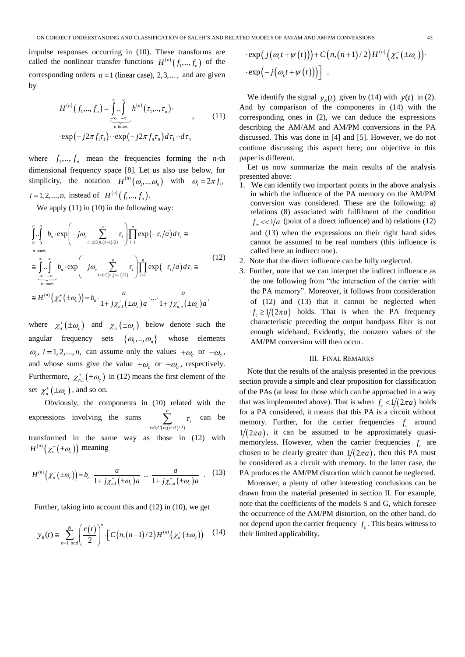ON CORRECT UNDERSTANDING AND CLASSIFICATION OF SALEH'S AND RELATED MODELS OF AM/AM AND AM/PM CONVERSIONS 43<br>pulse responses occurring in (10). These transforms are  $\exp(j(\omega_c t + \psi(t))) + C(n,(n+1)/2)H^{(n)}(\chi_n^-(\pm \omega_c))$ .<br>lled the nonlin impulse responses occurring in (10). These transforms are called the nonlinear transfer functions  $H^{(n)}(f_1, ..., f_n)$  of the corresponding orders  $n = 1$  (linear case), 2,3,..., and are given by

$$
H^{(n)}(f_1, ..., f_n) = \int_{-\infty}^{\infty} ... \int_{\pi \text{ times}}^{\infty} h^{(n)}(\tau_1, ..., \tau_n) \cdot \exp\left(-j2\pi f_1 \tau_1\right) \cdot \exp\left(-j2\pi f_n \tau_n\right) d\tau_1 \cdot d\tau_n
$$
\n(11)

where  $f_1, ..., f_n$  mean the frequencies forming the *n*-th dimensional frequency space [8]. Let us also use below, for simplicity, the notation  $H^{(n)}(\omega_1,...,\omega_n)$  with  $\omega_i = 2\pi f_i$ ,  $i = 1, 2, ..., n$ , instead of  $H^{(n)}(f_1, ..., f_n)$ .

We apply (11) in (10) in the following way:  
\n
$$
\int_{0}^{a} \int_{0}^{a} b_{n} \cdot \exp\left(-j\omega_{c} \sum_{i=1}^{n} \tau_{i}\right) \prod_{i=1}^{n} \exp(-\tau_{i}/a) d\tau_{i} \approx
$$
\n
$$
\approx \int_{0}^{\infty} \int_{0}^{\infty} b_{n} \cdot \exp\left(-j\omega_{c} \sum_{i=1;C(n,(n-1)/2)}^{n} \tau_{i}\right) \prod_{i=1}^{n} \exp(-\tau_{i}/a) d\tau_{i} \approx
$$
\n
$$
\approx H^{(n)}\left(\chi_{n}^{+}( \pm \omega_{c})\right) = b_{n} \cdot \frac{a}{1 + j\chi_{n,1}^{+}( \pm \omega_{c})a} \cdot \dots \cdot \frac{a}{1 + j\chi_{n,n}^{+}( \pm \omega_{c})a},
$$
\n(12)

where  $\chi_n^+ (\pm \omega_c)$  and  $\chi_n^- (\pm \omega_c)$  below denote such the angular frequency sets  $\{\omega_1, ..., \omega_n\}$  whose elements  $\omega_i$ ,  $i = 1, 2, \dots, n$ , can assume only the values  $+\omega_c$  or  $-\omega_c$ , and whose sums give the value  $+\omega_c$  or  $-\omega_c$ , respectively. Furthermore,  $\chi_{n,1}^{\dagger}(\pm \omega_c)$  in (12) means the first element of the set  $\chi_n^{\dagger}(\pm\omega_c)$ , and so on.

Obviously, the components in (10) related with the expressions involving the sums  $1; C(n,(n+1)/2)$ *n*  $\sum_{i=1; C(n,(n+1)/2)}$ <sup>c</sup><sub>i</sub> τ  $\sum_{-1:C(n,(n+1)/2)} \tau_i$  can be transformed in the same way as those in (12) with  $H^{(n)}\big(\chi_n^-(\pm\omega_c)\big)$  meaning

$$
H^{(n)}(\chi_n(\pm\omega_c)) = b_n \cdot \frac{a}{1+j\chi_{n,1}(\pm\omega_c)a} \cdot \dots \cdot \frac{a}{1+j\chi_{n,n}(\pm\omega_c)a} \quad . \quad (13)
$$

Further, taking into account this and (12) in (10), we get  
\n
$$
y_B(t) \approx \sum_{n=1,\text{odd}}^{N} \left(\frac{r(t)}{2}\right)^n \cdot \left[C\left(n,(n-1)/2\right)H^{(n)}\left(\chi_n^+(\pm \omega_c)\right)\right].
$$
 (14)

$$
\cdot \exp\big(\,j\big(\omega_c t + \psi\big(t\big)\big)\big) + C\big(n,(n+1)/2\big)H^{(n)}\big(\chi_n^-\big(\pm \omega_c\big)\big)\cdot \exp\big(\!-j\big(\omega_c t + \psi\big(t\big)\big)\big)\bigg] \;.
$$

We identify the signal  $y_B(t)$  given by (14) with  $y(t)$  in (2). And by comparison of the components in (14) with the corresponding ones in (2), we can deduce the expressions describing the AM/AM and AM/PM conversions in the PA discussed. This was done in [4] and [5]. However, we do not continue discussing this aspect here; our objective in this paper is different.

Let us now summarize the main results of the analysis presented above:

- 1. We can identify two important points in the above analysis in which the influence of the PA memory on the AM/PM conversion was considered. These are the following: a) relations (8) associated with fulfilment of the condition  $f_m \ll 1/a$  (point of a direct influence) and b) relations (12) and (13) when the expressions on their right hand sides cannot be assumed to be real numbers (this influence is called here an indirect one).
- 2. Note that the direct influence can be fully neglected.
- 3. Further, note that we can interpret the indirect influence as the one following from "the interaction of the carrier with the PA memory". Moreover, it follows from consideration of (12) and (13) that it cannot be neglected when  $f_c \geq 1/(2\pi a)$  holds. That is when the PA frequency characteristic preceding the output bandpass filter is not enough wideband. Evidently, the nonzero values of the AM/PM conversion will then occur.

### III. FINAL REMARKS

Note that the results of the analysis presented in the previous section provide a simple and clear proposition for classification of the PAs (at least for those which can be approached in a way that was implemented above). That is when  $f_c < 1/(2\pi a)$  holds for a PA considered, it means that this PA is a circuit without memory. Further, for the carrier frequencies  $f_c$  around  $1/(2\pi a)$ , it can be assumed to be approximately quasimemoryless. However, when the carrier frequencies  $f_c$  are chosen to be clearly greater than  $1/(2\pi a)$ , then this PA must be considered as a circuit with memory. In the latter case, the PA produces the AM/PM distortion which cannot be neglected.

Moreover, a plenty of other interesting conclusions can be drawn from the material presented in section II. For example, note that the coefficients of the models S and G, which foresee the occurrence of the AM/PM distortion, on the other hand, do not depend upon the carrier frequency  $f_c$ . This bears witness to their limited applicability.